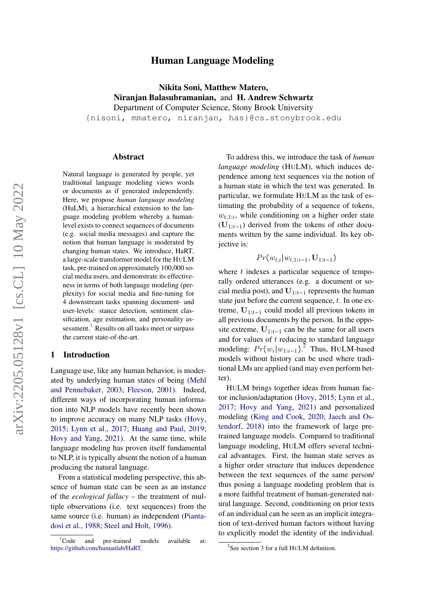# Human Language Modeling

Nikita Soni, Matthew Matero, Niranjan Balasubramanian, and H. Andrew Schwartz Department of Computer Science, Stony Brook University

{nisoni, mmatero, niranjan, has}@cs.stonybrook.edu

#### Abstract

Natural language is generated by people, yet traditional language modeling views words or documents as if generated independently. Here, we propose *human language modeling* (HuLM), a hierarchical extension to the language modeling problem whereby a humanlevel exists to connect sequences of documents (e.g. social media messages) and capture the notion that human language is moderated by changing human states. We introduce, HaRT, a large-scale transformer model for the HULM task, pre-trained on approximately 100,000 social media users, and demonstrate its effectiveness in terms of both language modeling (perplexity) for social media and fine-tuning for 4 downstream tasks spanning document- and user-levels: stance detection, sentiment classification, age estimation, and personality assessment. $^{\rm 1}$  $^{\rm 1}$  $^{\rm 1}$  Results on all tasks meet or surpass the current state-of-the-art.

## 1 Introduction

Language use, like any human behavior, is moderated by underlying human states of being [\(Mehl](#page-10-0) [and Pennebaker,](#page-10-0) [2003;](#page-10-0) [Fleeson,](#page-9-0) [2001\)](#page-9-0). Indeed, different ways of incorporating human information into NLP models have recently been shown to improve accuracy on many NLP tasks [\(Hovy,](#page-10-1) [2015;](#page-10-1) [Lynn et al.,](#page-10-2) [2017;](#page-10-2) [Huang and Paul,](#page-10-3) [2019;](#page-10-3) [Hovy and Yang,](#page-10-4) [2021\)](#page-10-4). At the same time, while language modeling has proven itself fundamental to NLP, it is typically absent the notion of a human producing the natural language.

From a statistical modeling perspective, this absence of human state can be seen as an instance of the *ecological fallacy* – the treatment of multiple observations (i.e. text sequences) from the same source (i.e. human) as independent [\(Pianta](#page-11-0)[dosi et al.,](#page-11-0) [1988;](#page-11-0) [Steel and Holt,](#page-11-1) [1996\)](#page-11-1).

To address this, we introduce the task of *human language modeling* (HULM), which induces dependence among text sequences via the notion of a human state in which the text was generated. In particular, we formulate HULM as the task of estimating the probability of a sequence of tokens,  $w_{t,1:i}$ , while conditioning on a higher order state  $(U_{1:t-1})$  derived from the tokens of other documents written by the same individual. Its key objective is:

 $Pr(w_{t,i}|w_{t,1:i-1}, \mathbf{U}_{1:t-1})$ 

where  $t$  indexes a particular sequence of temporally ordered utterances (e.g. a document or social media post), and  $\mathbf{U}_{1:t-1}$  represents the human state just before the current sequence,  $t$ . In one extreme,  $U_{1:t-1}$  could model all previous tokens in all previous documents by the person. In the opposite extreme,  $U_{1:t-1}$  can be the same for all users and for values of  $t$  reducing to standard language modeling:  $Pr(w_i|w_{1:i-1})$ .<sup>[2](#page-0-1)</sup> Thus, HULM-based models without history can be used where traditional LMs are applied (and may even perform better).

HULM brings together ideas from human factor inclusion/adaptation [\(Hovy,](#page-10-1) [2015;](#page-10-1) [Lynn et al.,](#page-10-2) [2017;](#page-10-2) [Hovy and Yang,](#page-10-4) [2021\)](#page-10-4) and personalized modeling [\(King and Cook,](#page-10-5) [2020;](#page-10-5) [Jaech and Os](#page-10-6)[tendorf,](#page-10-6) [2018\)](#page-10-6) into the framework of large pretrained language models. Compared to traditional language modeling, HULM offers several technical advantages. First, the human state serves as a higher order structure that induces dependence between the text sequences of the same person/ thus posing a language modeling problem that is a more faithful treatment of human-generated natural language. Second, conditioning on prior texts of an individual can be seen as an implicit integration of text-derived human factors without having to explicitly model the identity of the individual.

<span id="page-0-0"></span> ${}^{1}$ Code and pre-trained models available at: [https://github.com/humanlab/HaRT.](https://github.com/humanlab/HaRT)

<span id="page-0-1"></span> $2$ See section [3](#page-2-0) for a full HULM definition.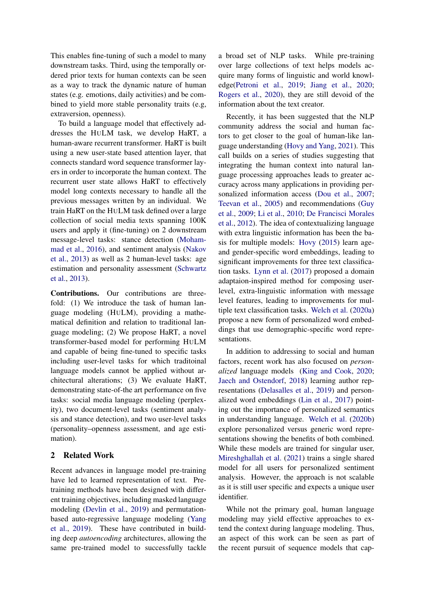This enables fine-tuning of such a model to many downstream tasks. Third, using the temporally ordered prior texts for human contexts can be seen as a way to track the dynamic nature of human states (e.g. emotions, daily activities) and be combined to yield more stable personality traits (e.g, extraversion, openness).

To build a language model that effectively addresses the HULM task, we develop HaRT, a human-aware recurrent transformer. HaRT is built using a new user-state based attention layer, that connects standard word sequence transformer layers in order to incorporate the human context. The recurrent user state allows HaRT to effectively model long contexts necessary to handle all the previous messages written by an individual. We train HaRT on the HULM task defined over a large collection of social media texts spanning 100K users and apply it (fine-tuning) on 2 downstream message-level tasks: stance detection [\(Moham](#page-11-2)[mad et al.,](#page-11-2) [2016\)](#page-11-2), and sentiment analysis [\(Nakov](#page-11-3) [et al.,](#page-11-3) [2013\)](#page-11-3) as well as 2 human-level tasks: age estimation and personality assessment [\(Schwartz](#page-11-4) [et al.,](#page-11-4) [2013\)](#page-11-4).

Contributions. Our contributions are threefold: (1) We introduce the task of human language modeling (HULM), providing a mathematical definition and relation to traditional language modeling; (2) We propose HaRT, a novel transformer-based model for performing HULM and capable of being fine-tuned to specific tasks including user-level tasks for which traditoinal language models cannot be applied without architectural alterations; (3) We evaluate HaRT, demonstrating state-of-the art performance on five tasks: social media language modeling (perplexity), two document-level tasks (sentiment analysis and stance detection), and two user-level tasks (personality–openness assessment, and age estimation).

## 2 Related Work

Recent advances in language model pre-training have led to learned representation of text. Pretraining methods have been designed with different training objectives, including masked language modeling [\(Devlin et al.,](#page-9-1) [2019\)](#page-9-1) and permutationbased auto-regressive language modeling [\(Yang](#page-11-5) [et al.,](#page-11-5) [2019\)](#page-11-5). These have contributed in building deep *autoencoding* architectures, allowing the same pre-trained model to successfully tackle a broad set of NLP tasks. While pre-training over large collections of text helps models acquire many forms of linguistic and world knowledge[\(Petroni et al.,](#page-11-6) [2019;](#page-11-6) [Jiang et al.,](#page-10-7) [2020;](#page-10-7) [Rogers et al.,](#page-11-7) [2020\)](#page-11-7), they are still devoid of the information about the text creator.

Recently, it has been suggested that the NLP community address the social and human factors to get closer to the goal of human-like language understanding [\(Hovy and Yang,](#page-10-4) [2021\)](#page-10-4). This call builds on a series of studies suggesting that integrating the human context into natural language processing approaches leads to greater accuracy across many applications in providing personalized information access [\(Dou et al.,](#page-9-2) [2007;](#page-9-2) [Teevan et al.,](#page-11-8) [2005\)](#page-11-8) and recommendations [\(Guy](#page-10-8) [et al.,](#page-10-8) [2009;](#page-10-8) [Li et al.,](#page-10-9) [2010;](#page-10-9) [De Francisci Morales](#page-9-3) [et al.,](#page-9-3) [2012\)](#page-9-3). The idea of contextualizing language with extra linguistic information has been the basis for multiple models: [Hovy](#page-10-1) [\(2015\)](#page-10-1) learn ageand gender-specific word embeddings, leading to significant improvements for three text classification tasks. [Lynn et al.](#page-10-2) [\(2017\)](#page-10-2) proposed a domain adaptaion-inspired method for composing userlevel, extra-linguistic information with message level features, leading to improvements for multiple text classification tasks. [Welch et al.](#page-11-9) [\(2020a\)](#page-11-9) propose a new form of personalized word embeddings that use demographic-specific word representations.

In addition to addressing to social and human factors, recent work has also focused on *personalized* language models [\(King and Cook,](#page-10-5) [2020;](#page-10-5) [Jaech and Ostendorf,](#page-10-6) [2018\)](#page-10-6) learning author representations [\(Delasalles et al.,](#page-9-4) [2019\)](#page-9-4) and personalized word embeddings [\(Lin et al.,](#page-10-10) [2017\)](#page-10-10) pointing out the importance of personalized semantics in understanding language. [Welch et al.](#page-11-10) [\(2020b\)](#page-11-10) explore personalized versus generic word representations showing the benefits of both combined. While these models are trained for singular user, [Mireshghallah et al.](#page-10-11) [\(2021\)](#page-10-11) trains a single shared model for all users for personalized sentiment analysis. However, the approach is not scalable as it is still user specific and expects a unique user identifier.

While not the primary goal, human language modeling may yield effective approaches to extend the context during language modeling. Thus, an aspect of this work can be seen as part of the recent pursuit of sequence models that cap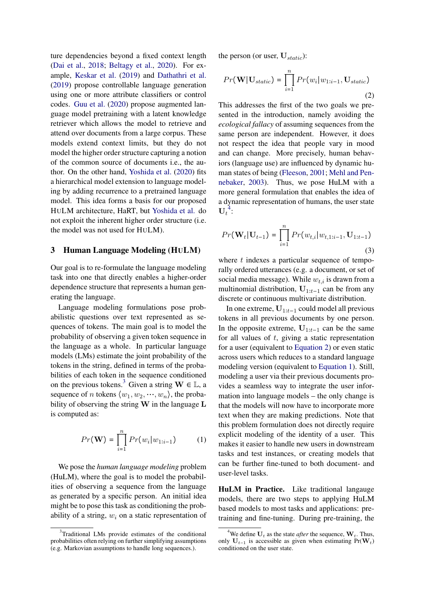ture dependencies beyond a fixed context length [\(Dai et al.,](#page-9-5) [2018;](#page-9-5) [Beltagy et al.,](#page-9-6) [2020\)](#page-9-6). For example, [Keskar et al.](#page-10-12) [\(2019\)](#page-10-12) and [Dathathri et al.](#page-9-7) [\(2019\)](#page-9-7) propose controllable language generation using one or more attribute classifiers or control codes. [Guu et al.](#page-9-8) [\(2020\)](#page-9-8) propose augmented language model pretraining with a latent knowledge retriever which allows the model to retrieve and attend over documents from a large corpus. These models extend context limits, but they do not model the higher order structure capturing a notion of the common source of documents i.e., the author. On the other hand, [Yoshida et al.](#page-12-0) [\(2020\)](#page-12-0) fits a hierarchical model extension to language modeling by adding recurrence to a pretrained language model. This idea forms a basis for our proposed HULM architecture, HaRT, but [Yoshida et al.](#page-12-0) do not exploit the inherent higher order structure (i.e. the model was not used for HULM).

## <span id="page-2-0"></span>3 Human Language Modeling (HULM)

Our goal is to re-formulate the language modeling task into one that directly enables a higher-order dependence structure that represents a human generating the language.

Language modeling formulations pose probabilistic questions over text represented as sequences of tokens. The main goal is to model the probability of observing a given token sequence in the language as a whole. In particular language models (LMs) estimate the joint probability of the tokens in the string, defined in terms of the probabilities of each token in the sequence conditioned on the previous tokens.<sup>[3](#page-2-1)</sup> Given a string  $W \in \mathbb{L}$ , a sequence of n tokens  $\langle w_1, w_2, \dots, w_n \rangle$ , the probability of observing the string  $W$  in the language  $L$ is computed as:

<span id="page-2-4"></span>
$$
Pr(\mathbf{W}) = \prod_{i=1}^{n} Pr(w_i|w_{1:i-1})
$$
 (1)

We pose the *human language modeling* problem (HuLM), where the goal is to model the probabilities of observing a sequence from the language as generated by a specific person. An initial idea might be to pose this task as conditioning the probability of a string,  $w_i$  on a static representation of the person (or user,  $U_{static}$ ):

<span id="page-2-3"></span>
$$
Pr(\mathbf{W}|\mathbf{U}_{static}) = \prod_{i=1}^{n} Pr(w_i|w_{1:i-1}, \mathbf{U}_{static})
$$
\n(2)

This addresses the first of the two goals we presented in the introduction, namely avoiding the *ecological fallacy* of assuming sequences from the same person are independent. However, it does not respect the idea that people vary in mood and can change. More precisely, human behaviors (language use) are influenced by dynamic human states of being [\(Fleeson,](#page-9-0) [2001;](#page-9-0) [Mehl and Pen](#page-10-0)[nebaker,](#page-10-0) [2003\)](#page-10-0). Thus, we pose HuLM with a more general formulation that enables the idea of a dynamic representation of humans, the user state  $\mathbf{U}_t^{-4}$  $\mathbf{U}_t^{-4}$  $\mathbf{U}_t^{-4}$ :

<span id="page-2-5"></span>
$$
Pr(\mathbf{W}_t | \mathbf{U}_{t-1}) = \prod_{i=1}^n Pr(w_{t,i} | w_{t,1:i-1}, \mathbf{U}_{1:t-1})
$$
\n(3)

where  $t$  indexes a particular sequence of temporally ordered utterances (e.g. a document, or set of social media message). While  $w_{t,i}$  is drawn from a multinomial distribution,  $U_{1:t-1}$  can be from any discrete or continuous multivariate distribution.

In one extreme,  $U_{1:t-1}$  could model all previous tokens in all previous documents by one person. In the opposite extreme,  $U_{1:t-1}$  can be the same for all values of  $t$ , giving a static representation for a user (equivalent to [Equation 2\)](#page-2-3) or even static across users which reduces to a standard language modeling version (equivalent to [Equation 1\)](#page-2-4). Still, modeling a user via their previous documents provides a seamless way to integrate the user information into language models – the only change is that the models will now have to incorporate more text when they are making predictions. Note that this problem formulation does not directly require explicit modeling of the identity of a user. This makes it easier to handle new users in downstream tasks and test instances, or creating models that can be further fine-tuned to both document- and user-level tasks.

HuLM in Practice. Like traditional langauge models, there are two steps to applying HuLM based models to most tasks and applications: pretraining and fine-tuning. During pre-training, the

<span id="page-2-1"></span><sup>&</sup>lt;sup>3</sup>Traditional LMs provide estimates of the conditional probabilities often relying on further simplifying assumptions (e.g. Markovian assumptions to handle long sequences.).

<span id="page-2-2"></span><sup>&</sup>lt;sup>4</sup>We define  $U_t$  as the state *after* the sequence,  $W_t$ . Thus, only  $U_{t-1}$  is accessible as given when estimating Pr( $W_t$ ) conditioned on the user state.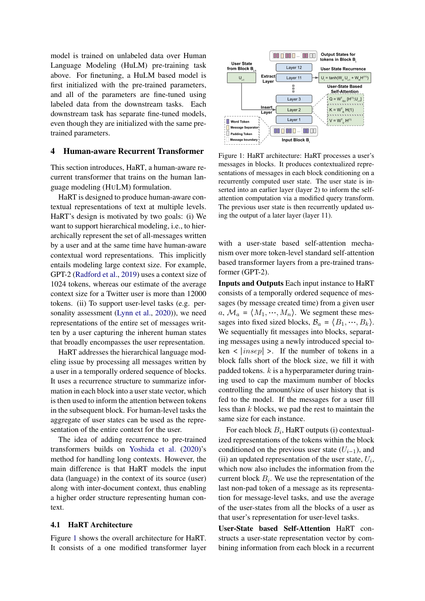model is trained on unlabeled data over Human Language Modeling (HuLM) pre-training task above. For finetuning, a HuLM based model is first initialized with the pre-trained parameters, and all of the parameters are fine-tuned using labeled data from the downstream tasks. Each downstream task has separate fine-tuned models, even though they are initialized with the same pretrained parameters.

## 4 Human-aware Recurrent Transformer

This section introduces, HaRT, a human-aware recurrent transformer that trains on the human language modeling (HULM) formulation.

HaRT is designed to produce human-aware contextual representations of text at multiple levels. HaRT's design is motivated by two goals: (i) We want to support hierarchical modeling, i.e., to hierarchically represent the set of all-messages written by a user and at the same time have human-aware contextual word representations. This implicitly entails modeling large context size. For example, GPT-2 [\(Radford et al.,](#page-11-11) [2019\)](#page-11-11) uses a context size of 1024 tokens, whereas our estimate of the average context size for a Twitter user is more than 12000 tokens. (ii) To support user-level tasks (e.g. personality assessment [\(Lynn et al.,](#page-10-13) [2020\)](#page-10-13)), we need representations of the entire set of messages written by a user capturing the inherent human states that broadly encompasses the user representation.

HaRT addresses the hierarchical language modeling issue by processing all messages written by a user in a temporally ordered sequence of blocks. It uses a recurrence structure to summarize information in each block into a user state vector, which is then used to inform the attention between tokens in the subsequent block. For human-level tasks the aggregate of user states can be used as the representation of the entire context for the user.

The idea of adding recurrence to pre-trained transformers builds on [Yoshida et al.](#page-12-0) [\(2020\)](#page-12-0)'s method for handling long contexts. However, the main difference is that HaRT models the input data (language) in the context of its source (user) along with inter-document context, thus enabling a higher order structure representing human context.

## 4.1 HaRT Architecture

Figure [1](#page-3-0) shows the overall architecture for HaRT. It consists of a one modified transformer layer

<span id="page-3-0"></span>

Figure 1: HaRT architecture: HaRT processes a user's messages in blocks. It produces contextualized representations of messages in each block conditioning on a recurrently computed user state. The user state is inserted into an earlier layer (layer 2) to inform the selfattention computation via a modified query transform. The previous user state is then recurrently updated using the output of a later layer (layer 11).

with a user-state based self-attention mechanism over more token-level standard self-attention based transformer layers from a pre-trained transformer (GPT-2).

Inputs and Outputs Each input instance to HaRT consists of a temporally ordered sequence of messages (by message created time) from a given user  $a, M_a = \langle M_1, \cdots, M_n \rangle$ . We segment these messages into fixed sized blocks,  $B_a = \langle B_1, \dots, B_k \rangle$ . We sequentially fit messages into blocks, separating messages using a newly introduced special to- $\text{ken} < |insep| >$ . If the number of tokens in a block falls short of the block size, we fill it with padded tokens.  $k$  is a hyperparameter during training used to cap the maximum number of blocks controlling the amount/size of user history that is fed to the model. If the messages for a user fill less than  $k$  blocks, we pad the rest to maintain the same size for each instance.

For each block  $B_i$ , HaRT outputs (i) contextualized representations of the tokens within the block conditioned on the previous user state  $(U_{i-1})$ , and (ii) an updated representation of the user state,  $U_i$ , which now also includes the information from the current block  $B_i$ . We use the representation of the last non-pad token of a message as its representation for message-level tasks, and use the average of the user-states from all the blocks of a user as that user's representation for user-level tasks.

User-State based Self-Attention HaRT constructs a user-state representation vector by combining information from each block in a recurrent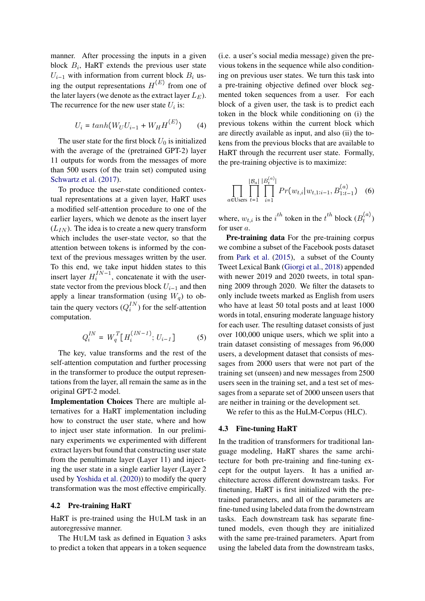manner. After processing the inputs in a given block  $B_i$ , HaRT extends the previous user state  $U_{i-1}$  with information from current block  $B_i$  using the output representations  $H^{(E)}$  from one of the later layers (we denote as the extract layer  $L_E$ ). The recurrence for the new user state  $U_i$  is:

$$
U_i = \tanh(W_U U_{i-1} + W_H H^{(E)}) \tag{4}
$$

The user state for the first block  $U_0$  is initialized with the average of the (pretrained GPT-2) layer 11 outputs for words from the messages of more than 500 users (of the train set) computed using [Schwartz et al.](#page-11-12) [\(2017\)](#page-11-12).

To produce the user-state conditioned contextual representations at a given layer, HaRT uses a modified self-attention procedure to one of the earlier layers, which we denote as the insert layer  $(L_{IN})$ . The idea is to create a new query transform which includes the user-state vector, so that the attention between tokens is informed by the context of the previous messages written by the user. To this end, we take input hidden states to this insert layer  $H_i^{IN-1}$ , concatenate it with the userstate vector from the previous block  $U_{i-1}$  and then apply a linear transformation (using  $W_q$ ) to obtain the query vectors  $(Q_i^{IN})$  for the self-attention computation.

$$
Q_i^{IN} = W_q^T[H_i^{(IN-1)}; U_{i-1}] \tag{5}
$$

The key, value transforms and the rest of the self-attention computation and further processing in the transformer to produce the output representations from the layer, all remain the same as in the original GPT-2 model.

Implementation Choices There are multiple alternatives for a HaRT implementation including how to construct the user state, where and how to inject user state information. In our preliminary experiments we experimented with different extract layers but found that constructing user state from the penultimate layer (Layer 11) and injecting the user state in a single earlier layer (Layer 2 used by [Yoshida et al.](#page-12-0) [\(2020\)](#page-12-0)) to modify the query transformation was the most effective empirically.

## <span id="page-4-0"></span>4.2 Pre-training HaRT

HaRT is pre-trained using the HULM task in an autoregressive manner.

The HULM task as defined in Equation [3](#page-2-5) asks to predict a token that appears in a token sequence (i.e. a user's social media message) given the previous tokens in the sequence while also conditioning on previous user states. We turn this task into a pre-training objective defined over block segmented token sequences from a user. For each block of a given user, the task is to predict each token in the block while conditioning on (i) the previous tokens within the current block which are directly available as input, and also (ii) the tokens from the previous blocks that are available to HaRT through the recurrent user state. Formally, the pre-training objective is to maximize:

$$
\prod_{a \in \text{Users}} \prod_{t=1}^{|B_a|} \prod_{i=1}^{|B_t^{(a)}|} Pr(w_{t,i}|w_{t,1:i-1}, B_{1:t-1}^{(a)}) \quad (6)
$$

where,  $w_{t,i}$  is the  $i^{th}$  token in the  $t^{th}$  block  $(B_t^{(a)})$  $t^{(u)}$ for user a.

Pre-training data For the pre-training corpus we combine a subset of the Facebook posts dataset from [Park et al.](#page-11-13) [\(2015\)](#page-11-13), a subset of the County Tweet Lexical Bank [\(Giorgi et al.,](#page-9-9) [2018\)](#page-9-9) appended with newer 2019 and 2020 tweets, in total spanning 2009 through 2020. We filter the datasets to only include tweets marked as English from users who have at least 50 total posts and at least 1000 words in total, ensuring moderate language history for each user. The resulting dataset consists of just over 100,000 unique users, which we split into a train dataset consisting of messages from 96,000 users, a development dataset that consists of messages from 2000 users that were not part of the training set (unseen) and new messages from 2500 users seen in the training set, and a test set of messages from a separate set of 2000 unseen users that are neither in training or the development set.

We refer to this as the HuLM-Corpus (HLC).

## <span id="page-4-1"></span>4.3 Fine-tuning HaRT

In the tradition of transformers for traditional language modeling, HaRT shares the same architecture for both pre-training and fine-tuning except for the output layers. It has a unified architecture across different downstream tasks. For finetuning, HaRT is first initialized with the pretrained parameters, and all of the parameters are fine-tuned using labeled data from the downstream tasks. Each downstream task has separate finetuned models, even though they are initialized with the same pre-trained parameters. Apart from using the labeled data from the downstream tasks,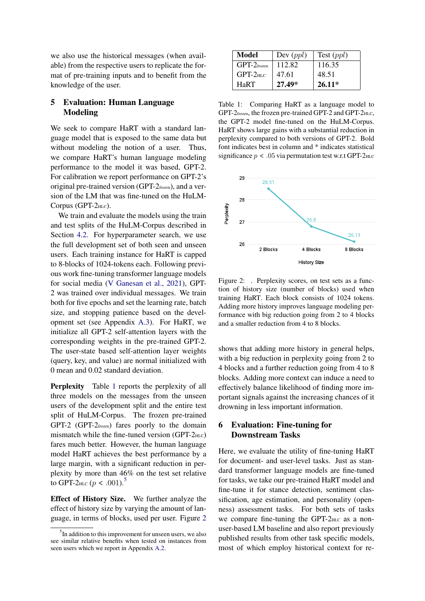we also use the historical messages (when available) from the respective users to replicate the format of pre-training inputs and to benefit from the knowledge of the user.

# <span id="page-5-3"></span>5 Evaluation: Human Language Modeling

We seek to compare HaRT with a standard language model that is exposed to the same data but without modeling the notion of a user. Thus, we compare HaRT's human language modeling performance to the model it was based, GPT-2. For calibration we report performance on GPT-2's original pre-trained version (GPT-2frozen), and a version of the LM that was fine-tuned on the HuLM-Corpus (GPT-2HLC).

We train and evaluate the models using the train and test splits of the HuLM-Corpus described in Section [4.2.](#page-4-0) For hyperparameter search, we use the full development set of both seen and unseen users. Each training instance for HaRT is capped to 8-blocks of 1024-tokens each. Following previous work fine-tuning transformer language models for social media [\(V Ganesan et al.,](#page-11-14) [2021\)](#page-11-14), GPT-2 was trained over individual messages. We train both for five epochs and set the learning rate, batch size, and stopping patience based on the development set (see Appendix [A.3\)](#page-12-1). For HaRT, we initialize all GPT-2 self-attention layers with the corresponding weights in the pre-trained GPT-2. The user-state based self-attention layer weights (query, key, and value) are normal initialized with 0 mean and 0.02 standard deviation.

Perplexity Table [1](#page-5-0) reports the perplexity of all three models on the messages from the unseen users of the development split and the entire test split of HuLM-Corpus. The frozen pre-trained GPT-2 (GPT-2frozen) fares poorly to the domain mismatch while the fine-tuned version  $(GPT-2<sub>HLC</sub>)$ fares much better. However, the human language model HaRT achieves the best performance by a large margin, with a significant reduction in perplexity by more than 46% on the test set relative to GPT-2<sub>HLC</sub> ( $p < .001$ ).<sup>[5](#page-5-1)</sup>

Effect of History Size. We further analyze the effect of history size by varying the amount of language, in terms of blocks, used per user. Figure [2](#page-5-2)

<span id="page-5-0"></span>

| Model          | Dev $(ppl)$ | Test $(ppl)$ |
|----------------|-------------|--------------|
| $GPT-2$ frozen | 112.82      | 116.35       |
| $GPT-2HIC$     | 47.61       | 48.51        |
| HaRT           | $27.49*$    | $26.11*$     |

Table 1: Comparing HaRT as a language model to GPT-2frozen, the frozen pre-trained GPT-2 and GPT-2HLC, the GPT-2 model fine-tuned on the HuLM-Corpus. HaRT shows large gains with a substantial reduction in perplexity compared to both versions of GPT-2. Bold font indicates best in column and \* indicates statistical significance  $p < .05$  via permutation test w.r.t GPT-2 $_{\text{HLC}}$ 

<span id="page-5-2"></span>

Figure 2: . Perplexity scores, on test sets as a function of history size (number of blocks) used when training HaRT. Each block consists of 1024 tokens. Adding more history improves language modeling performance with big reduction going from 2 to 4 blocks and a smaller reduction from 4 to 8 blocks.

shows that adding more history in general helps, with a big reduction in perplexity going from 2 to 4 blocks and a further reduction going from 4 to 8 blocks. Adding more context can induce a need to effectively balance likelihood of finding more important signals against the increasing chances of it drowning in less important information.

# 6 Evaluation: Fine-tuning for Downstream Tasks

Here, we evaluate the utility of fine-tuning HaRT for document- and user-level tasks. Just as standard transformer language models are fine-tuned for tasks, we take our pre-trained HaRT model and fine-tune it for stance detection, sentiment classification, age estimation, and personality (openness) assessment tasks. For both sets of tasks we compare fine-tuning the GPT- $2<sub>HLC</sub>$  as a nonuser-based LM baseline and also report previously published results from other task specific models, most of which employ historical context for re-

<span id="page-5-1"></span> $<sup>5</sup>$ In addition to this improvement for unseen users, we also</sup> see similar relative benefits when tested on instances from seen users which we report in Appendix [A.2.](#page-12-2)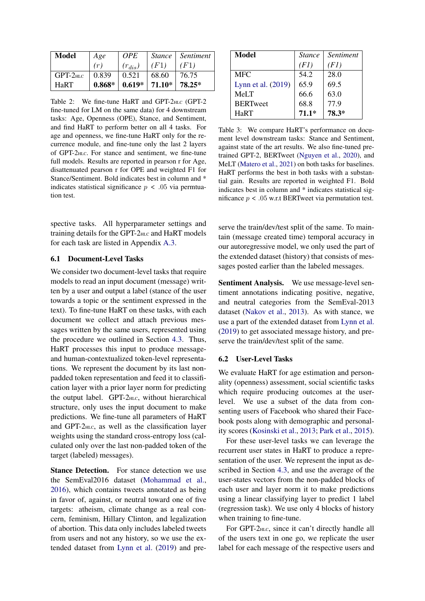<span id="page-6-0"></span>

| <b>Model</b> | Age      | <i>OPE</i>  |                 | Stance   Sentiment |
|--------------|----------|-------------|-----------------|--------------------|
|              | (r)      | $(r_{dis})$ | (F1)            | (F1)               |
| $GPT-2HLC$   | 0.839    | 0.521       | 68.60           | 76.75              |
| HaRT         | $0.868*$ |             | $0.619*$ 71.10* | 78.25*             |

Table 2: We fine-tune HaRT and GPT-2HLC (GPT-2 fine-tuned for LM on the same data) for 4 downstream tasks: Age, Openness (OPE), Stance, and Sentiment, and find HaRT to perform better on all 4 tasks. For age and openness, we fine-tune HaRT only for the recurrence module, and fine-tune only the last 2 layers of GPT-2HLC. For stance and sentiment, we fine-tune full models. Results are reported in pearson r for Age, disattenuated pearson r for OPE and weighted F1 for Stance/Sentiment. Bold indicates best in column and \* indicates statistical significance  $p < .05$  via permtuation test.

spective tasks. All hyperparameter settings and training details for the GPT-2HLC and HaRT models for each task are listed in Appendix [A.3.](#page-12-1)

## 6.1 Document-Level Tasks

We consider two document-level tasks that require models to read an input document (message) written by a user and output a label (stance of the user towards a topic or the sentiment expressed in the text). To fine-tune HaRT on these tasks, with each document we collect and attach previous messages written by the same users, represented using the procedure we outlined in Section [4.3.](#page-4-1) Thus, HaRT processes this input to produce messageand human-contextualized token-level representations. We represent the document by its last nonpadded token representation and feed it to classification layer with a prior layer norm for predicting the output label. GPT-2HLC, without hierarchical structure, only uses the input document to make predictions. We fine-tune all parameters of HaRT and GPT-2HLC, as well as the classification layer weights using the standard cross-entropy loss (calculated only over the last non-padded token of the target (labeled) messages).

Stance Detection. For stance detection we use the SemEval2016 dataset [\(Mohammad et al.,](#page-11-2) [2016\)](#page-11-2), which contains tweets annotated as being in favor of, against, or neutral toward one of five targets: atheism, climate change as a real concern, feminism, Hillary Clinton, and legalization of abortion. This data only includes labeled tweets from users and not any history, so we use the extended dataset from [Lynn et al.](#page-10-14) [\(2019\)](#page-10-14) and pre-

<span id="page-6-1"></span>

| Model              | <i>Stance</i> | <i>Sentiment</i> |
|--------------------|---------------|------------------|
|                    | (F1)          | (F1)             |
| <b>MFC</b>         | 54.2          | 28.0             |
| Lynn et al. (2019) | 65.9          | 69.5             |
| MeLT               | 66.6          | 63.0             |
| <b>BERTweet</b>    | 68.8          | 77.9             |
| HaRT               | $71.1*$       | 78.3*            |

Table 3: We compare HaRT's performance on document level downstream tasks: Stance and Sentiment, against state of the art results. We also fine-tuned pretrained GPT-2, BERTweet [\(Nguyen et al.,](#page-11-15) [2020\)](#page-11-15), and MeLT [\(Matero et al.,](#page-10-15) [2021\)](#page-10-15) on both tasks for baselines. HaRT performs the best in both tasks with a substantial gain. Results are reported in weighted F1. Bold indicates best in column and \* indicates statistical significance  $p < .05$  w.r.t BERTweet via permutation test.

serve the train/dev/test split of the same. To maintain (message created time) temporal accuracy in our autoregressive model, we only used the part of the extended dataset (history) that consists of messages posted earlier than the labeled messages.

Sentiment Analysis. We use message-level sentiment annotations indicating positive, negative, and neutral categories from the SemEval-2013 dataset [\(Nakov et al.,](#page-11-3) [2013\)](#page-11-3). As with stance, we use a part of the extended dataset from [Lynn et al.](#page-10-14) [\(2019\)](#page-10-14) to get associated message history, and preserve the train/dev/test split of the same.

## 6.2 User-Level Tasks

We evaluate HaRT for age estimation and personality (openness) assessment, social scientific tasks which require producing outcomes at the userlevel. We use a subset of the data from consenting users of Facebook who shared their Facebook posts along with demographic and personality scores [\(Kosinski et al.,](#page-10-16) [2013;](#page-10-16) [Park et al.,](#page-11-13) [2015\)](#page-11-13).

For these user-level tasks we can leverage the recurrent user states in HaRT to produce a representation of the user. We represent the input as described in Section [4.3,](#page-4-1) and use the average of the user-states vectors from the non-padded blocks of each user and layer norm it to make predictions using a linear classifying layer to predict 1 label (regression task). We use only 4 blocks of history when training to fine-tune.

For GPT-2<sub>HLC</sub>, since it can't directly handle all of the users text in one go, we replicate the user label for each message of the respective users and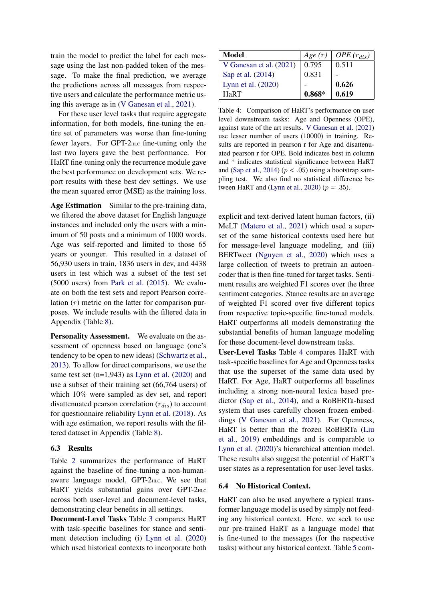train the model to predict the label for each message using the last non-padded token of the message. To make the final prediction, we average the predictions across all messages from respective users and calculate the performance metric using this average as in [\(V Ganesan et al.,](#page-11-14) [2021\)](#page-11-14).

For these user level tasks that require aggregate information, for both models, fine-tuning the entire set of parameters was worse than fine-tuning fewer layers. For GPT-2HLC fine-tuning only the last two layers gave the best performance. For HaRT fine-tuning only the recurrence module gave the best performance on development sets. We report results with these best dev settings. We use the mean squared error (MSE) as the training loss.

Age Estimation Similar to the pre-training data, we filtered the above dataset for English language instances and included only the users with a minimum of 50 posts and a minimum of 1000 words. Age was self-reported and limited to those 65 years or younger. This resulted in a dataset of 56,930 users in train, 1836 users in dev, and 4438 users in test which was a subset of the test set (5000 users) from [Park et al.](#page-11-13) [\(2015\)](#page-11-13). We evaluate on both the test sets and report Pearson correlation  $(r)$  metric on the latter for comparison purposes. We include results with the filtered data in Appendix (Table [8\)](#page-14-0).

Personality Assessment. We evaluate on the assessment of openness based on language (one's tendency to be open to new ideas) [\(Schwartz et al.,](#page-11-4) [2013\)](#page-11-4). To allow for direct comparisons, we use the same test set  $(n=1,943)$  as [Lynn et al.](#page-10-13)  $(2020)$  and use a subset of their training set (66,764 users) of which 10% were sampled as dev set, and report disattenuated pearson correlation  $(r_{dis})$  to account for questionnaire reliability [Lynn et al.](#page-10-17) [\(2018\)](#page-10-17). As with age estimation, we report results with the filtered dataset in Appendix (Table [8\)](#page-14-0).

#### 6.3 Results

Table [2](#page-6-0) summarizes the performance of HaRT against the baseline of fine-tuning a non-humanaware language model, GPT-2<sub>HLC</sub>. We see that HaRT yields substantial gains over GPT-2HLC across both user-level and document-level tasks, demonstrating clear benefits in all settings.

Document-Level Tasks Table [3](#page-6-1) compares HaRT with task-specific baselines for stance and sentiment detection including (i) [Lynn et al.](#page-10-13) [\(2020\)](#page-10-13) which used historical contexts to incorporate both

<span id="page-7-0"></span>

| Model                   | Age(r)   | OPE $(r_{dis})$ |
|-------------------------|----------|-----------------|
| V Ganesan et al. (2021) | 0.795    | 0.511           |
| Sap et al. (2014)       | 0.831    |                 |
| Lynn et al. $(2020)$    |          | 0.626           |
| HaRT                    | $0.868*$ | 0.619           |

Table 4: Comparison of HaRT's performance on user level downstream tasks: Age and Openness (OPE), against state of the art results. [V Ganesan et al.](#page-11-14) [\(2021\)](#page-11-14) use lesser number of users (10000) in training. Results are reported in pearson r for Age and disattenuated pearson r for OPE. Bold indicates best in column and \* indicates statistical significance between HaRT and [\(Sap et al.,](#page-11-16) [2014\)](#page-11-16) ( $p < .05$ ) using a bootstrap sampling test. We also find no statistical difference be-tween HaRT and [\(Lynn et al.,](#page-10-13) [2020\)](#page-10-13) ( $p = .35$ ).

explicit and text-derived latent human factors, (ii) MeLT [\(Matero et al.,](#page-10-15) [2021\)](#page-10-15) which used a superset of the same historical contexts used here but for message-level language modeling, and (iii) BERTweet [\(Nguyen et al.,](#page-11-15) [2020\)](#page-11-15) which uses a large collection of tweets to pretrain an autoencoder that is then fine-tuned for target tasks. Sentiment results are weighted F1 scores over the three sentiment categories. Stance results are an average of weighted F1 scored over five different topics from respective topic-specific fine-tuned models. HaRT outperforms all models demonstrating the substantial benefits of human language modeling for these document-level downstream tasks.

User-Level Tasks Table [4](#page-7-0) compares HaRT with task-specific baselines for Age and Openness tasks that use the superset of the same data used by HaRT. For Age, HaRT outperforms all baselines including a strong non-neural lexica based predictor [\(Sap et al.,](#page-11-16) [2014\)](#page-11-16), and a RoBERTa-based system that uses carefully chosen frozen embeddings [\(V Ganesan et al.,](#page-11-14) [2021\)](#page-11-14). For Openness, HaRT is better than the frozen RoBERTa [\(Liu](#page-10-18) [et al.,](#page-10-18) [2019\)](#page-10-18) embeddings and is comparable to [Lynn et al.](#page-10-13) [\(2020\)](#page-10-13)'s hierarchical attention model. These results also suggest the potential of HaRT's user states as a representation for user-level tasks.

#### 6.4 No Historical Context.

HaRT can also be used anywhere a typical transformer language model is used by simply not feeding any historical context. Here, we seek to use our pre-trained HaRT as a language model that is fine-tuned to the messages (for the respective tasks) without any historical context. Table [5](#page-8-0) com-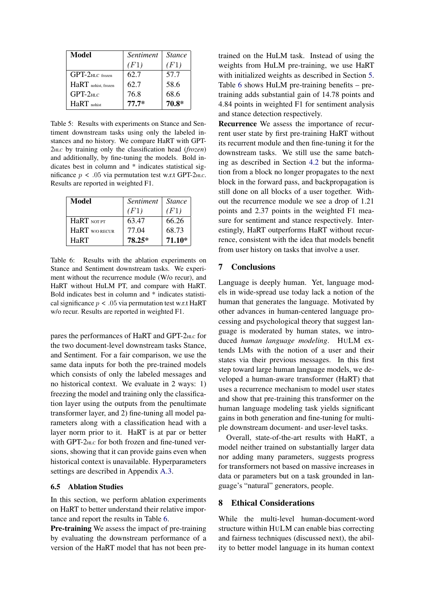<span id="page-8-0"></span>

| Model               | Sentiment | <i>Stance</i> |
|---------------------|-----------|---------------|
|                     | (F1)      | (F1)          |
| $GPT-2HIC$ frozen   | 62.7      | 57.7          |
| HaRT nohist, frozen | 62.7      | 58.6          |
| $GPT-2$ HLC         | 76.8      | 68.6          |
| $HaRT$ nobist       | $77.7*$   | 70.8*         |

Table 5: Results with experiments on Stance and Sentiment downstream tasks using only the labeled instances and no history. We compare HaRT with GPT-2HLC by training only the classification head (*frozen*) and additionally, by fine-tuning the models. Bold indicates best in column and \* indicates statistical significance  $p < .05$  via permutation test w.r.t GPT-2<sub>HLC</sub>. Results are reported in weighted F1.

<span id="page-8-1"></span>

| Model               | Sentiment | <i>Stance</i> |
|---------------------|-----------|---------------|
|                     | (F1)      | (F1)          |
| HaRT NOT PT         | 63.47     | 66.26         |
| <b>HaRT</b> WORECUR | 77.04     | 68.73         |
| HaRT                | 78.25*    | $71.10*$      |

Table 6: Results with the ablation experiments on Stance and Sentiment downstream tasks. We experiment without the recurrence module (W/o recur), and HaRT without HuLM PT, and compare with HaRT. Bold indicates best in column and \* indicates statistical significance  $p < .05$  via permutation test w.r.t HaRT w/o recur. Results are reported in weighted F1.

pares the performances of HaRT and GPT-2HLC for the two document-level downstream tasks Stance, and Sentiment. For a fair comparison, we use the same data inputs for both the pre-trained models which consists of only the labeled messages and no historical context. We evaluate in 2 ways: 1) freezing the model and training only the classification layer using the outputs from the penultimate transformer layer, and 2) fine-tuning all model parameters along with a classification head with a layer norm prior to it. HaRT is at par or better with GPT-2<sub>HLC</sub> for both frozen and fine-tuned versions, showing that it can provide gains even when historical context is unavailable. Hyperparameters settings are described in Appendix [A.3.](#page-12-1)

## 6.5 Ablation Studies

In this section, we perform ablation experiments on HaRT to better understand their relative importance and report the results in Table [6.](#page-8-1)

Pre-training We assess the impact of pre-training by evaluating the downstream performance of a version of the HaRT model that has not been pretrained on the HuLM task. Instead of using the weights from HuLM pre-training, we use HaRT with initialized weights as described in Section [5.](#page-5-3) Table [6](#page-8-1) shows HuLM pre-training benefits – pretraining adds substantial gain of 14.78 points and 4.84 points in weighted F1 for sentiment analysis and stance detection respectively.

Recurrence We assess the importance of recurrent user state by first pre-training HaRT without its recurrent module and then fine-tuning it for the downstream tasks. We still use the same batching as described in Section [4.2](#page-4-0) but the information from a block no longer propagates to the next block in the forward pass, and backpropagation is still done on all blocks of a user together. Without the recurrence module we see a drop of 1.21 points and 2.37 points in the weighted F1 measure for sentiment and stance respectively. Interestingly, HaRT outperforms HaRT without recurrence, consistent with the idea that models benefit from user history on tasks that involve a user.

## 7 Conclusions

Language is deeply human. Yet, language models in wide-spread use today lack a notion of the human that generates the language. Motivated by other advances in human-centered language processing and psychological theory that suggest language is moderated by human states, we introduced *human language modeling*. HULM extends LMs with the notion of a user and their states via their previous messages. In this first step toward large human language models, we developed a human-aware transformer (HaRT) that uses a recurrence mechanism to model user states and show that pre-training this transformer on the human language modeling task yields significant gains in both generation and fine-tuning for multiple downstream document- and user-level tasks.

Overall, state-of-the-art results with HaRT, a model neither trained on substantially larger data nor adding many parameters, suggests progress for transformers not based on massive increases in data or parameters but on a task grounded in language's "natural" generators, people.

## 8 Ethical Considerations

While the multi-level human-document-word structure within HULM can enable bias correcting and fairness techniques (discussed next), the ability to better model language in its human context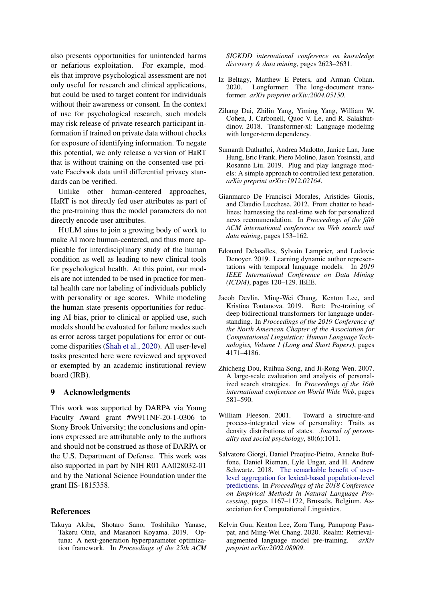also presents opportunities for unintended harms or nefarious exploitation. For example, models that improve psychological assessment are not only useful for research and clinical applications, but could be used to target content for individuals without their awareness or consent. In the context of use for psychological research, such models may risk release of private research participant information if trained on private data without checks for exposure of identifying information. To negate this potential, we only release a version of HaRT that is without training on the consented-use private Facebook data until differential privacy standards can be verified.

Unlike other human-centered approaches, HaRT is not directly fed user attributes as part of the pre-training thus the model parameters do not directly encode user attributes.

HULM aims to join a growing body of work to make AI more human-centered, and thus more applicable for interdisciplinary study of the human condition as well as leading to new clinical tools for psychological health. At this point, our models are not intended to be used in practice for mental health care nor labeling of individuals publicly with personality or age scores. While modeling the human state presents opportunities for reducing AI bias, prior to clinical or applied use, such models should be evaluated for failure modes such as error across target populations for error or outcome disparities [\(Shah et al.,](#page-11-17) [2020\)](#page-11-17). All user-level tasks presented here were reviewed and approved or exempted by an academic institutional review board (IRB).

### 9 Acknowledgments

This work was supported by DARPA via Young Faculty Award grant #W911NF-20-1-0306 to Stony Brook University; the conclusions and opinions expressed are attributable only to the authors and should not be construed as those of DARPA or the U.S. Department of Defense. This work was also supported in part by NIH R01 AA028032-01 and by the National Science Foundation under the grant IIS-1815358.

## References

<span id="page-9-10"></span>Takuya Akiba, Shotaro Sano, Toshihiko Yanase, Takeru Ohta, and Masanori Koyama. 2019. Optuna: A next-generation hyperparameter optimization framework. In *Proceedings of the 25th ACM* *SIGKDD international conference on knowledge discovery & data mining*, pages 2623–2631.

- <span id="page-9-6"></span>Iz Beltagy, Matthew E Peters, and Arman Cohan. 2020. Longformer: The long-document transformer. *arXiv preprint arXiv:2004.05150*.
- <span id="page-9-5"></span>Zihang Dai, Zhilin Yang, Yiming Yang, William W. Cohen, J. Carbonell, Quoc V. Le, and R. Salakhutdinov. 2018. Transformer-xl: Language modeling with longer-term dependency.
- <span id="page-9-7"></span>Sumanth Dathathri, Andrea Madotto, Janice Lan, Jane Hung, Eric Frank, Piero Molino, Jason Yosinski, and Rosanne Liu. 2019. Plug and play language models: A simple approach to controlled text generation. *arXiv preprint arXiv:1912.02164*.
- <span id="page-9-3"></span>Gianmarco De Francisci Morales, Aristides Gionis, and Claudio Lucchese. 2012. From chatter to headlines: harnessing the real-time web for personalized news recommendation. In *Proceedings of the fifth ACM international conference on Web search and data mining*, pages 153–162.
- <span id="page-9-4"></span>Edouard Delasalles, Sylvain Lamprier, and Ludovic Denoyer. 2019. Learning dynamic author representations with temporal language models. In *2019 IEEE International Conference on Data Mining (ICDM)*, pages 120–129. IEEE.
- <span id="page-9-1"></span>Jacob Devlin, Ming-Wei Chang, Kenton Lee, and Kristina Toutanova. 2019. Bert: Pre-training of deep bidirectional transformers for language understanding. In *Proceedings of the 2019 Conference of the North American Chapter of the Association for Computational Linguistics: Human Language Technologies, Volume 1 (Long and Short Papers)*, pages 4171–4186.
- <span id="page-9-2"></span>Zhicheng Dou, Ruihua Song, and Ji-Rong Wen. 2007. A large-scale evaluation and analysis of personalized search strategies. In *Proceedings of the 16th international conference on World Wide Web*, pages 581–590.
- <span id="page-9-0"></span>William Fleeson. 2001. Toward a structure-and process-integrated view of personality: Traits as density distributions of states. *Journal of personality and social psychology*, 80(6):1011.
- <span id="page-9-9"></span>Salvatore Giorgi, Daniel Preoțiuc-Pietro, Anneke Buffone, Daniel Rieman, Lyle Ungar, and H. Andrew Schwartz. 2018. [The remarkable benefit of user](https://doi.org/10.18653/v1/D18-1148)[level aggregation for lexical-based population-level](https://doi.org/10.18653/v1/D18-1148) [predictions.](https://doi.org/10.18653/v1/D18-1148) In *Proceedings of the 2018 Conference on Empirical Methods in Natural Language Processing*, pages 1167–1172, Brussels, Belgium. Association for Computational Linguistics.
- <span id="page-9-8"></span>Kelvin Guu, Kenton Lee, Zora Tung, Panupong Pasupat, and Ming-Wei Chang. 2020. Realm: Retrievalaugmented language model pre-training. *arXiv preprint arXiv:2002.08909*.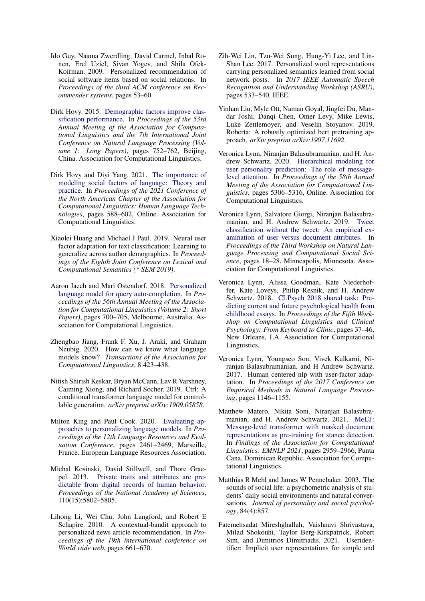- <span id="page-10-8"></span>Ido Guy, Naama Zwerdling, David Carmel, Inbal Ronen, Erel Uziel, Sivan Yogev, and Shila Ofek-Koifman. 2009. Personalized recommendation of social software items based on social relations. In *Proceedings of the third ACM conference on Recommender systems*, pages 53–60.
- <span id="page-10-1"></span>Dirk Hovy. 2015. [Demographic factors improve clas](https://doi.org/10.3115/v1/P15-1073)[sification performance.](https://doi.org/10.3115/v1/P15-1073) In *Proceedings of the 53rd Annual Meeting of the Association for Computational Linguistics and the 7th International Joint Conference on Natural Language Processing (Volume 1: Long Papers)*, pages 752–762, Beijing, China. Association for Computational Linguistics.
- <span id="page-10-4"></span>Dirk Hovy and Diyi Yang. 2021. [The importance of](https://doi.org/10.18653/v1/2021.naacl-main.49) [modeling social factors of language: Theory and](https://doi.org/10.18653/v1/2021.naacl-main.49) [practice.](https://doi.org/10.18653/v1/2021.naacl-main.49) In *Proceedings of the 2021 Conference of the North American Chapter of the Association for Computational Linguistics: Human Language Technologies*, pages 588–602, Online. Association for Computational Linguistics.
- <span id="page-10-3"></span>Xiaolei Huang and Michael J Paul. 2019. Neural user factor adaptation for text classification: Learning to generalize across author demographics. In *Proceedings of the Eighth Joint Conference on Lexical and Computational Semantics (\* SEM 2019)*.
- <span id="page-10-6"></span>Aaron Jaech and Mari Ostendorf. 2018. [Personalized](https://doi.org/10.18653/v1/P18-2111) [language model for query auto-completion.](https://doi.org/10.18653/v1/P18-2111) In *Proceedings of the 56th Annual Meeting of the Association for Computational Linguistics (Volume 2: Short Papers)*, pages 700–705, Melbourne, Australia. Association for Computational Linguistics.
- <span id="page-10-7"></span>Zhengbao Jiang, Frank F. Xu, J. Araki, and Graham Neubig. 2020. How can we know what language models know? *Transactions of the Association for Computational Linguistics*, 8:423–438.
- <span id="page-10-12"></span>Nitish Shirish Keskar, Bryan McCann, Lav R Varshney, Caiming Xiong, and Richard Socher. 2019. Ctrl: A conditional transformer language model for controllable generation. *arXiv preprint arXiv:1909.05858*.
- <span id="page-10-5"></span>Milton King and Paul Cook. 2020. [Evaluating ap](https://aclanthology.org/2020.lrec-1.299)[proaches to personalizing language models.](https://aclanthology.org/2020.lrec-1.299) In *Proceedings of the 12th Language Resources and Evaluation Conference*, pages 2461–2469, Marseille, France. European Language Resources Association.
- <span id="page-10-16"></span>Michal Kosinski, David Stillwell, and Thore Graepel. 2013. [Private traits and attributes are pre](https://doi.org/10.1073/pnas.1218772110)[dictable from digital records of human behavior.](https://doi.org/10.1073/pnas.1218772110) *Proceedings of the National Academy of Sciences*, 110(15):5802–5805.
- <span id="page-10-9"></span>Lihong Li, Wei Chu, John Langford, and Robert E Schapire. 2010. A contextual-bandit approach to personalized news article recommendation. In *Proceedings of the 19th international conference on World wide web*, pages 661–670.
- <span id="page-10-10"></span>Zih-Wei Lin, Tzu-Wei Sung, Hung-Yi Lee, and Lin-Shan Lee. 2017. Personalized word representations carrying personalized semantics learned from social network posts. In *2017 IEEE Automatic Speech Recognition and Understanding Workshop (ASRU)*, pages 533–540. IEEE.
- <span id="page-10-18"></span>Yinhan Liu, Myle Ott, Naman Goyal, Jingfei Du, Mandar Joshi, Danqi Chen, Omer Levy, Mike Lewis, Luke Zettlemoyer, and Veselin Stoyanov. 2019. Roberta: A robustly optimized bert pretraining approach. *arXiv preprint arXiv:1907.11692*.
- <span id="page-10-13"></span>Veronica Lynn, Niranjan Balasubramanian, and H. Andrew Schwartz. 2020. [Hierarchical modeling for](https://doi.org/10.18653/v1/2020.acl-main.472) [user personality prediction: The role of message](https://doi.org/10.18653/v1/2020.acl-main.472)[level attention.](https://doi.org/10.18653/v1/2020.acl-main.472) In *Proceedings of the 58th Annual Meeting of the Association for Computational Linguistics*, pages 5306–5316, Online. Association for Computational Linguistics.
- <span id="page-10-14"></span>Veronica Lynn, Salvatore Giorgi, Niranjan Balasubramanian, and H. Andrew Schwartz. 2019. [Tweet](https://doi.org/10.18653/v1/W19-2103) [classification without the tweet: An empirical ex](https://doi.org/10.18653/v1/W19-2103)[amination of user versus document attributes.](https://doi.org/10.18653/v1/W19-2103) In *Proceedings of the Third Workshop on Natural Language Processing and Computational Social Science*, pages 18–28, Minneapolis, Minnesota. Association for Computational Linguistics.
- <span id="page-10-17"></span>Veronica Lynn, Alissa Goodman, Kate Niederhoffer, Kate Loveys, Philip Resnik, and H. Andrew Schwartz. 2018. [CLPsych 2018 shared task: Pre](https://doi.org/10.18653/v1/W18-0604)[dicting current and future psychological health from](https://doi.org/10.18653/v1/W18-0604) [childhood essays.](https://doi.org/10.18653/v1/W18-0604) In *Proceedings of the Fifth Workshop on Computational Linguistics and Clinical Psychology: From Keyboard to Clinic*, pages 37–46, New Orleans, LA. Association for Computational Linguistics.
- <span id="page-10-2"></span>Veronica Lynn, Youngseo Son, Vivek Kulkarni, Niranjan Balasubramanian, and H Andrew Schwartz. 2017. Human centered nlp with user-factor adaptation. In *Proceedings of the 2017 Conference on Empirical Methods in Natural Language Processing*, pages 1146–1155.
- <span id="page-10-15"></span>Matthew Matero, Nikita Soni, Niranjan Balasubramanian, and H. Andrew Schwartz. 2021. [MeLT:](https://aclanthology.org/2021.findings-emnlp.253) [Message-level transformer with masked document](https://aclanthology.org/2021.findings-emnlp.253) [representations as pre-training for stance detection.](https://aclanthology.org/2021.findings-emnlp.253) In *Findings of the Association for Computational Linguistics: EMNLP 2021*, pages 2959–2966, Punta Cana, Dominican Republic. Association for Computational Linguistics.
- <span id="page-10-0"></span>Matthias R Mehl and James W Pennebaker. 2003. The sounds of social life: a psychometric analysis of students' daily social environments and natural conversations. *Journal of personality and social psychology*, 84(4):857.
- <span id="page-10-11"></span>Fatemehsadat Mireshghallah, Vaishnavi Shrivastava, Milad Shokouhi, Taylor Berg-Kirkpatrick, Robert Sim, and Dimitrios Dimitriadis. 2021. Useridentifier: Implicit user representations for simple and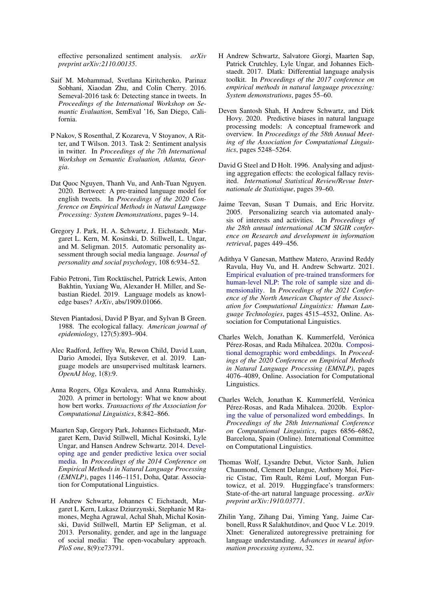effective personalized sentiment analysis. *arXiv preprint arXiv:2110.00135*.

- <span id="page-11-2"></span>Saif M. Mohammad, Svetlana Kiritchenko, Parinaz Sobhani, Xiaodan Zhu, and Colin Cherry. 2016. Semeval-2016 task 6: Detecting stance in tweets. In *Proceedings of the International Workshop on Semantic Evaluation*, SemEval '16, San Diego, California.
- <span id="page-11-3"></span>P Nakov, S Rosenthal, Z Kozareva, V Stoyanov, A Ritter, and T Wilson. 2013. Task 2: Sentiment analysis in twitter. In *Proceedings of the 7th International Workshop on Semantic Evaluation, Atlanta, Georgia*.
- <span id="page-11-15"></span>Dat Quoc Nguyen, Thanh Vu, and Anh-Tuan Nguyen. 2020. Bertweet: A pre-trained language model for english tweets. In *Proceedings of the 2020 Conference on Empirical Methods in Natural Language Processing: System Demonstrations*, pages 9–14.
- <span id="page-11-13"></span>Gregory J. Park, H. A. Schwartz, J. Eichstaedt, Margaret L. Kern, M. Kosinski, D. Stillwell, L. Ungar, and M. Seligman. 2015. Automatic personality assessment through social media language. *Journal of personality and social psychology*, 108 6:934–52.
- <span id="page-11-6"></span>Fabio Petroni, Tim Rocktäschel, Patrick Lewis, Anton Bakhtin, Yuxiang Wu, Alexander H. Miller, and Sebastian Riedel. 2019. Language models as knowledge bases? *ArXiv*, abs/1909.01066.
- <span id="page-11-0"></span>Steven Piantadosi, David P Byar, and Sylvan B Green. 1988. The ecological fallacy. *American journal of epidemiology*, 127(5):893–904.
- <span id="page-11-11"></span>Alec Radford, Jeffrey Wu, Rewon Child, David Luan, Dario Amodei, Ilya Sutskever, et al. 2019. Language models are unsupervised multitask learners. *OpenAI blog*, 1(8):9.
- <span id="page-11-7"></span>Anna Rogers, Olga Kovaleva, and Anna Rumshisky. 2020. A primer in bertology: What we know about how bert works. *Transactions of the Association for Computational Linguistics*, 8:842–866.
- <span id="page-11-16"></span>Maarten Sap, Gregory Park, Johannes Eichstaedt, Margaret Kern, David Stillwell, Michal Kosinski, Lyle Ungar, and Hansen Andrew Schwartz. 2014. [Devel](https://doi.org/10.3115/v1/D14-1121)[oping age and gender predictive lexica over social](https://doi.org/10.3115/v1/D14-1121) [media.](https://doi.org/10.3115/v1/D14-1121) In *Proceedings of the 2014 Conference on Empirical Methods in Natural Language Processing (EMNLP)*, pages 1146–1151, Doha, Qatar. Association for Computational Linguistics.
- <span id="page-11-4"></span>H Andrew Schwartz, Johannes C Eichstaedt, Margaret L Kern, Lukasz Dziurzynski, Stephanie M Ramones, Megha Agrawal, Achal Shah, Michal Kosinski, David Stillwell, Martin EP Seligman, et al. 2013. Personality, gender, and age in the language of social media: The open-vocabulary approach. *PloS one*, 8(9):e73791.
- <span id="page-11-12"></span>H Andrew Schwartz, Salvatore Giorgi, Maarten Sap, Patrick Crutchley, Lyle Ungar, and Johannes Eichstaedt. 2017. Dlatk: Differential language analysis toolkit. In *Proceedings of the 2017 conference on empirical methods in natural language processing: System demonstrations*, pages 55–60.
- <span id="page-11-17"></span>Deven Santosh Shah, H Andrew Schwartz, and Dirk Hovy. 2020. Predictive biases in natural language processing models: A conceptual framework and overview. In *Proceedings of the 58th Annual Meeting of the Association for Computational Linguistics*, pages 5248–5264.
- <span id="page-11-1"></span>David G Steel and D Holt. 1996. Analysing and adjusting aggregation effects: the ecological fallacy revisited. *International Statistical Review/Revue Internationale de Statistique*, pages 39–60.
- <span id="page-11-8"></span>Jaime Teevan, Susan T Dumais, and Eric Horvitz. 2005. Personalizing search via automated analysis of interests and activities. In *Proceedings of the 28th annual international ACM SIGIR conference on Research and development in information retrieval*, pages 449–456.
- <span id="page-11-14"></span>Adithya V Ganesan, Matthew Matero, Aravind Reddy Ravula, Huy Vu, and H. Andrew Schwartz. 2021. [Empirical evaluation of pre-trained transformers for](https://doi.org/10.18653/v1/2021.naacl-main.357) [human-level NLP: The role of sample size and di](https://doi.org/10.18653/v1/2021.naacl-main.357)[mensionality.](https://doi.org/10.18653/v1/2021.naacl-main.357) In *Proceedings of the 2021 Conference of the North American Chapter of the Association for Computational Linguistics: Human Language Technologies*, pages 4515–4532, Online. Association for Computational Linguistics.
- <span id="page-11-9"></span>Charles Welch, Jonathan K. Kummerfeld, Verónica Pérez-Rosas, and Rada Mihalcea. 2020a. [Composi](https://doi.org/10.18653/v1/2020.emnlp-main.334)[tional demographic word embeddings.](https://doi.org/10.18653/v1/2020.emnlp-main.334) In *Proceedings of the 2020 Conference on Empirical Methods in Natural Language Processing (EMNLP)*, pages 4076–4089, Online. Association for Computational Linguistics.
- <span id="page-11-10"></span>Charles Welch, Jonathan K. Kummerfeld, Verónica Pérez-Rosas, and Rada Mihalcea. 2020b. [Explor](https://doi.org/10.18653/v1/2020.coling-main.604)[ing the value of personalized word embeddings.](https://doi.org/10.18653/v1/2020.coling-main.604) In *Proceedings of the 28th International Conference on Computational Linguistics*, pages 6856–6862, Barcelona, Spain (Online). International Committee on Computational Linguistics.
- <span id="page-11-18"></span>Thomas Wolf, Lysandre Debut, Victor Sanh, Julien Chaumond, Clement Delangue, Anthony Moi, Pierric Cistac, Tim Rault, Rémi Louf, Morgan Funtowicz, et al. 2019. Huggingface's transformers: State-of-the-art natural language processing. *arXiv preprint arXiv:1910.03771*.
- <span id="page-11-5"></span>Zhilin Yang, Zihang Dai, Yiming Yang, Jaime Carbonell, Russ R Salakhutdinov, and Quoc V Le. 2019. Xlnet: Generalized autoregressive pretraining for language understanding. *Advances in neural information processing systems*, 32.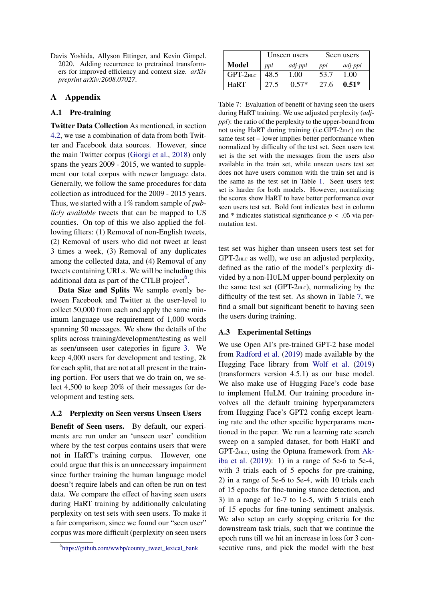<span id="page-12-0"></span>Davis Yoshida, Allyson Ettinger, and Kevin Gimpel. 2020. Adding recurrence to pretrained transformers for improved efficiency and context size. *arXiv preprint arXiv:2008.07027*.

## A Appendix

# A.1 Pre-training

Twitter Data Collection As mentioned, in section [4.2,](#page-4-0) we use a combination of data from both Twitter and Facebook data sources. However, since the main Twitter corpus [\(Giorgi et al.,](#page-9-9) [2018\)](#page-9-9) only spans the years 2009 - 2015, we wanted to supplement our total corpus with newer language data. Generally, we follow the same procedures for data collection as introduced for the 2009 - 2015 years. Thus, we started with a 1% random sample of *publicly available* tweets that can be mapped to US counties. On top of this we also applied the following filters: (1) Removal of non-English tweets, (2) Removal of users who did not tweet at least 3 times a week, (3) Removal of any duplicates among the collected data, and (4) Removal of any tweets containing URLs. We will be including this additional data as part of the CTLB project $<sup>6</sup>$  $<sup>6</sup>$  $<sup>6</sup>$ .</sup>

Data Size and Splits We sample evenly between Facebook and Twitter at the user-level to collect 50,000 from each and apply the same minimum language use requirement of 1,000 words spanning 50 messages. We show the details of the splits across training/development/testing as well as seen/unseen user categories in figure [3.](#page-13-0) We keep 4,000 users for development and testing, 2k for each split, that are not at all present in the training portion. For users that we do train on, we select 4,500 to keep 20% of their messages for development and testing sets.

## <span id="page-12-2"></span>A.2 Perplexity on Seen versus Unseen Users

Benefit of Seen users. By default, our experiments are run under an 'unseen user' condition where by the test corpus contains users that were not in HaRT's training corpus. However, one could argue that this is an unnecessary impairment since further training the human language model doesn't require labels and can often be run on test data. We compare the effect of having seen users during HaRT training by additionally calculating perplexity on test sets with seen users. To make it a fair comparison, since we found our "seen user" corpus was more difficult (perplexity on seen users

<span id="page-12-4"></span>

|             | Unseen users |         | Seen users |         |
|-------------|--------------|---------|------------|---------|
| Model       | ppl          | adj-ppl | ppl        | adj-ppl |
| $GPT-2$ HLC | 48.5         | 1.00    | 53.7       | 1.00    |
| HaRT        | 27.5         | $0.57*$ | 27.6       | $0.51*$ |

Table 7: Evaluation of benefit of having seen the users during HaRT training. We use adjusted perplexity (*adjppl*): the ratio of the perplexity to the upper-bound from not using HaRT during training (i.e.GPT-2HLC) on the same test set – lower implies better performance when normalized by difficulty of the test set. Seen users test set is the set with the messages from the users also available in the train set, while unseen users test set does not have users common with the train set and is the same as the test set in Table [1.](#page-5-0) Seen users test set is harder for both models. However, normalizing the scores show HaRT to have better performance over seen users test set. Bold font indicates best in column and  $*$  indicates statistical significance  $p < .05$  via permutation test.

test set was higher than unseen users test set for GPT-2HLC as well), we use an adjusted perplexity, defined as the ratio of the model's perplexity divided by a non-HULM upper-bound perplexity on the same test set (GPT- $2<sub>HLC</sub>$ ), normalizing by the difficulty of the test set. As shown in Table [7,](#page-12-4) we find a small but significant benefit to having seen the users during training.

#### <span id="page-12-1"></span>A.3 Experimental Settings

We use Open AI's pre-trained GPT-2 base model from [Radford et al.](#page-11-11) [\(2019\)](#page-11-11) made available by the Hugging Face library from [Wolf et al.](#page-11-18) [\(2019\)](#page-11-18) (transformers version 4.5.1) as our base model. We also make use of Hugging Face's code base to implement HuLM. Our training procedure involves all the default training hyperparameters from Hugging Face's GPT2 config except learning rate and the other specific hyperparams mentioned in the paper. We run a learning rate search sweep on a sampled dataset, for both HaRT and GPT-2HLC, using the Optuna framework from [Ak](#page-9-10)[iba et al.](#page-9-10) [\(2019\)](#page-9-10): 1) in a range of 5e-6 to 5e-4, with 3 trials each of 5 epochs for pre-training, 2) in a range of 5e-6 to 5e-4, with 10 trials each of 15 epochs for fine-tuning stance detection, and 3) in a range of 1e-7 to 1e-5, with 5 trials each of 15 epochs for fine-tuning sentiment analysis. We also setup an early stopping criteria for the downstream task trials, such that we continue the epoch runs till we hit an increase in loss for 3 consecutive runs, and pick the model with the best

<span id="page-12-3"></span><sup>6</sup> [https://github.com/wwbp/county\\_tweet\\_lexical\\_bank](https://github.com/wwbp/county_tweet_lexical_bank)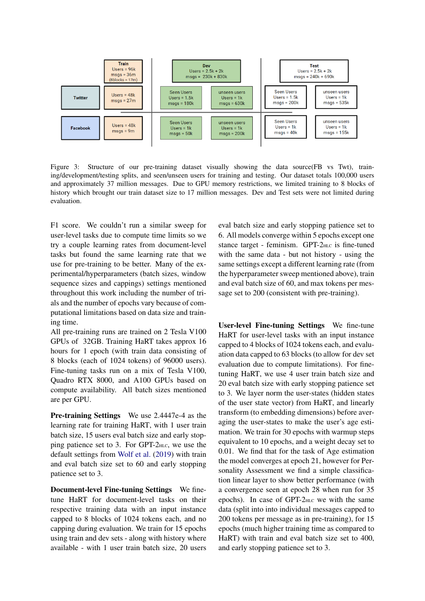<span id="page-13-0"></span>

Figure 3: Structure of our pre-training dataset visually showing the data source(FB vs Twt), training/development/testing splits, and seen/unseen users for training and testing. Our dataset totals 100,000 users and approximately 37 million messages. Due to GPU memory restrictions, we limited training to 8 blocks of history which brought our train dataset size to 17 million messages. Dev and Test sets were not limited during evaluation.

F1 score. We couldn't run a similar sweep for user-level tasks due to compute time limits so we try a couple learning rates from document-level tasks but found the same learning rate that we use for pre-training to be better. Many of the experimental/hyperparameters (batch sizes, window sequence sizes and cappings) settings mentioned throughout this work including the number of trials and the number of epochs vary because of computational limitations based on data size and training time.

All pre-training runs are trained on 2 Tesla V100 GPUs of 32GB. Training HaRT takes approx 16 hours for 1 epoch (with train data consisting of 8 blocks (each of 1024 tokens) of 96000 users). Fine-tuning tasks run on a mix of Tesla V100, Quadro RTX 8000, and A100 GPUs based on compute availability. All batch sizes mentioned are per GPU.

Pre-training Settings We use 2.4447e-4 as the learning rate for training HaRT, with 1 user train batch size, 15 users eval batch size and early stopping patience set to 3. For GPT-2HLC, we use the default settings from [Wolf et al.](#page-11-18) [\(2019\)](#page-11-18) with train and eval batch size set to 60 and early stopping patience set to 3.

Document-level Fine-tuning Settings We finetune HaRT for document-level tasks on their respective training data with an input instance capped to 8 blocks of 1024 tokens each, and no capping during evaluation. We train for 15 epochs using train and dev sets - along with history where available - with 1 user train batch size, 20 users

eval batch size and early stopping patience set to 6. All models converge within 5 epochs except one stance target - feminism. GPT-2<sub>HLC</sub> is fine-tuned with the same data - but not history - using the same settings except a different learning rate (from the hyperparameter sweep mentioned above), train and eval batch size of 60, and max tokens per message set to 200 (consistent with pre-training).

User-level Fine-tuning Settings We fine-tune HaRT for user-level tasks with an input instance capped to 4 blocks of 1024 tokens each, and evaluation data capped to 63 blocks (to allow for dev set evaluation due to compute limitations). For finetuning HaRT, we use 4 user train batch size and 20 eval batch size with early stopping patience set to 3. We layer norm the user-states (hidden states of the user state vector) from HaRT, and linearly transform (to embedding dimensions) before averaging the user-states to make the user's age estimation. We train for 30 epochs with warmup steps equivalent to 10 epochs, and a weight decay set to 0.01. We find that for the task of Age estimation the model converges at epoch 21, however for Personality Assessment we find a simple classification linear layer to show better performance (with a convergence seen at epoch 28 when run for 35 epochs). In case of GPT- $2<sub>HLC</sub>$  we with the same data (split into into individual messages capped to 200 tokens per message as in pre-training), for 15 epochs (much higher training time as compared to HaRT) with train and eval batch size set to 400, and early stopping patience set to 3.